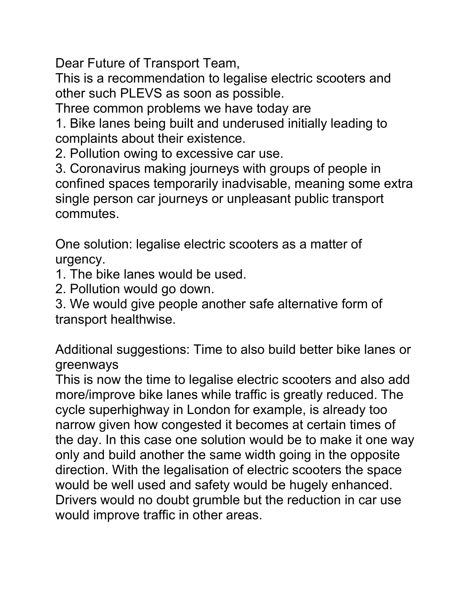Dear Future of Transport Team,

This is a recommendation to legalise electric scooters and other such PLEVS as soon as possible.

Three common problems we have today are

1. Bike lanes being built and underused initially leading to complaints about their existence.

2. Pollution owing to excessive car use.

3. Coronavirus making journeys with groups of people in confined spaces temporarily inadvisable, meaning some extra single person car journeys or unpleasant public transport commutes.

One solution: legalise electric scooters as a matter of urgency.

1. The bike lanes would be used.

2. Pollution would go down.

3. We would give people another safe alternative form of transport healthwise.

Additional suggestions: Time to also build better bike lanes or greenways

This is now the time to legalise electric scooters and also add more/improve bike lanes while traffic is greatly reduced. The cycle superhighway in London for example, is already too narrow given how congested it becomes at certain times of the day. In this case one solution would be to make it one way only and build another the same width going in the opposite direction. With the legalisation of electric scooters the space would be well used and safety would be hugely enhanced. Drivers would no doubt grumble but the reduction in car use would improve traffic in other areas.